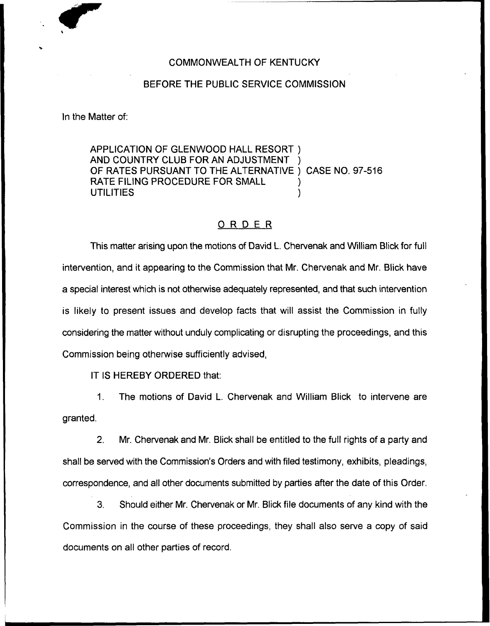## COMMONWEALTH OF KENTUCKY

## BEFORE THE PUBLIC SERVICE COMMISSION

In the Matter of:

APPLICATION OF GLENWOOD HALL RESORT ) AND COUNTRY CLUB FOR AN ADJUSTMENT OF RATES PURSUANT TO THE ALTERNATIVE ) CASE NO. 97-516 RATE FILING PROCEDURE FOR SMALL UTILITIES )

## ORDER

This matter arising upon the motions of David L. Chervenak and William Blick for full intervention, and it appearing to the Commission that Mr. Chervenak and Mr. Blick have a special interest which is not otherwise adequately represented, and that such intervention is likely to present issues and develop facts that will assist the Commission in fully considering the matter without unduly complicating or disrupting the proceedings, and this Commission being otherwise sufficiently advised,

IT IS HEREBY ORDERED that:

1. The motions of David L. Chervenak and William Blick to intervene are granted.

2. Mr. Chervenak and Mr. Blick shall be entitled to the full rights of a party and shall be served with the Commission's Orders and with filed testimony, exhibits, pleadings, correspondence, and all other documents submitted by parties after the date of this Order.

3. Should either Mr. Chervenak or Mr. Blick file documents of any kind with the Commission in the course of these proceedings, they shall also serve a copy of said documents on all other parties of record.